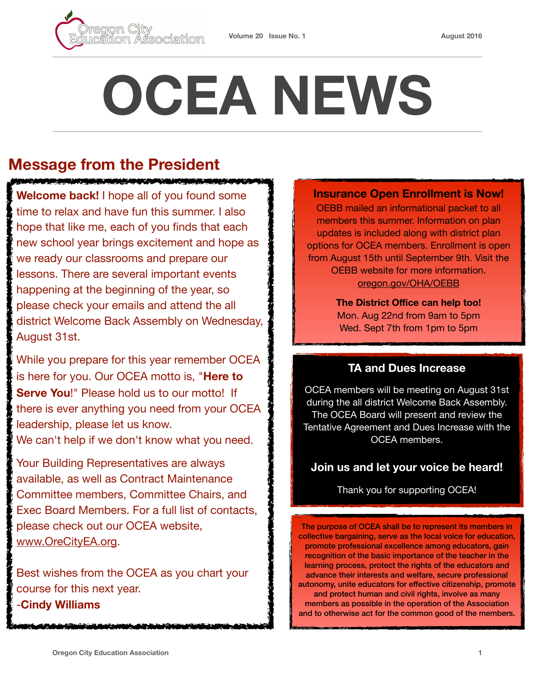

# **OCEA NEWS**

# **Message from the President**

**Welcome back!** I hope all of you found some time to relax and have fun this summer. I also hope that like me, each of you finds that each new school year brings excitement and hope as we ready our classrooms and prepare our lessons. There are several important events happening at the beginning of the year, so please check your emails and attend the all district Welcome Back Assembly on Wednesday, August 31st.

<u> Karamatan Malampur Sima Malay Malampu</u>

While you prepare for this year remember OCEA is here for you. Our OCEA motto is, "**Here to Serve You**!" Please hold us to our motto! If there is ever anything you need from your OCEA leadership, please let us know. We can't help if we don't know what you need.

Your Building Representatives are always available, as well as Contract Maintenance Committee members, Committee Chairs, and Exec Board Members. For a full list of contacts, please check out our OCEA website, [www.OreCityEA.org.](http://www.OrecityEA.org)

Best wishes from the OCEA as you chart your course for this next year. -**Cindy Williams**

#### **Insurance Open Enrollment is Now!**

OEBB mailed an informational packet to all members this summer. Information on plan updates is included along with district plan options for OCEA members. Enrollment is open from August 15th until September 9th. Visit the OEBB website for more information. [oregon.gov/OHA/OEBB](http://oregon.gov/OHA/OEBB)

> **The District Office can help too!**  Mon. Aug 22nd from 9am to 5pm Wed. Sept 7th from 1pm to 5pm

## **TA and Dues Increase**

OCEA members will be meeting on August 31st during the all district Welcome Back Assembly. The OCEA Board will present and review the Tentative Agreement and Dues Increase with the OCEA members.

### **Join us and let your voice be heard!**

Thank you for supporting OCEA!

The purpose of OCEA shall be to represent its members in collective bargaining, serve as the local voice for education, promote professional excellence among educators, gain recognition of the basic importance of the teacher in the learning process, protect the rights of the educators and advance their interests and welfare, secure professional autonomy, unite educators for effective citizenship, promote and protect human and civil rights, involve as many members as possible in the operation of the Association and to otherwise act for the common good of the members.